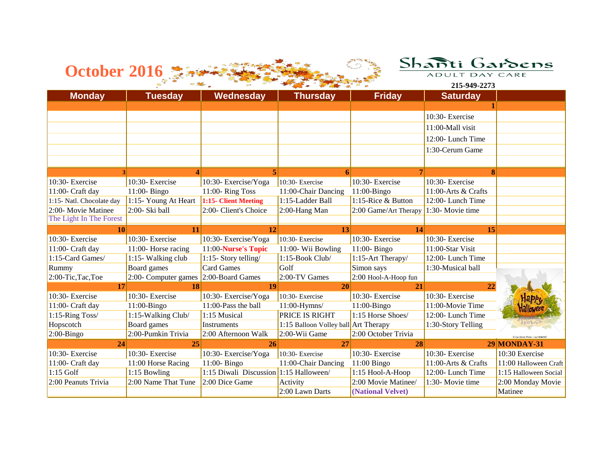

| <b>October 2016</b>       |                      |                                        |                                      |                       | Shañti<br>ADULT DAY CARE | Gardens               |
|---------------------------|----------------------|----------------------------------------|--------------------------------------|-----------------------|--------------------------|-----------------------|
|                           |                      |                                        |                                      |                       |                          |                       |
|                           |                      |                                        |                                      |                       | 215-949-2273             |                       |
| <b>Monday</b>             | <b>Tuesday</b>       | Wednesday                              | <b>Thursday</b>                      | <b>Friday</b>         | <b>Saturday</b>          |                       |
|                           |                      |                                        |                                      |                       |                          |                       |
|                           |                      |                                        |                                      |                       | 10:30- Exercise          |                       |
|                           |                      |                                        |                                      |                       | 11:00-Mall visit         |                       |
|                           |                      |                                        |                                      |                       | 12:00-Lunch Time         |                       |
|                           |                      |                                        |                                      |                       | 1:30-Cerum Game          |                       |
|                           |                      |                                        |                                      |                       |                          |                       |
|                           |                      |                                        |                                      |                       |                          |                       |
| 10:30- Exercise           | 10:30- Exercise      | 10:30- Exercise/Yoga                   | 10:30- Exercise                      | 10:30- Exercise       | 10:30- Exercise          |                       |
| 11:00- Craft day          | 11:00- Bingo         | 11:00-Ring Toss                        | 11:00-Chair Dancing                  | $11:00-Bingo$         | 11:00-Arts & Crafts      |                       |
| 1:15- Natl. Chocolate day | 1:15- Young At Heart | 1:15- Client Meeting                   | 1:15-Ladder Ball                     | 1:15-Rice & Button    | 12:00-Lunch Time         |                       |
| 2:00- Movie Matinee       | 2:00- Ski ball       | 2:00- Client's Choice                  | 2:00-Hang Man                        | 2:00 Game/Art Therapy | 1:30- Movie time         |                       |
| The Light In The Forest   |                      |                                        |                                      |                       |                          |                       |
| 10                        | 11                   | 12                                     | 13                                   | 14                    | 15                       |                       |
| 10:30- Exercise           | 10:30- Exercise      | 10:30- Exercise/Yoga                   | 10:30- Exercise                      | 10:30- Exercise       | 10:30- Exercise          |                       |
| 11:00- Craft day          | 11:00- Horse racing  | 11:00-Nurse's Topic                    | 11:00- Wii Bowling                   | 11:00- Bingo          | 11:00-Star Visit         |                       |
| 1:15-Card Games/          | 1:15- Walking club   | 1:15- Story telling/                   | 1:15-Book Club/                      | 1:15-Art Therapy/     | 12:00-Lunch Time         |                       |
| Rummy                     | Board games          | <b>Card Games</b>                      | Golf                                 | Simon says            | 1:30-Musical ball        |                       |
| 2:00-Tic,Tac,Toe          | 2:00- Computer games | 2:00-Board Games                       | 2:00-TV Games                        | 2:00 Hool-A-Hoop fun  |                          |                       |
| 17                        | 18                   | 19                                     | 20                                   | 21                    | 22                       |                       |
| 10:30- Exercise           | 10:30- Exercise      | 10:30- Exercise/Yoga                   | 10:30- Exercise                      | 10:30- Exercise       | 10:30- Exercise          |                       |
| 11:00- Craft day          | 11:00-Bingo          | 11:00-Pass the ball                    | 11:00-Hymns/                         | $11:00-Bingo$         | 11:00-Movie Time         |                       |
| 1:15-Ring Toss/           | 1:15-Walking Club/   | 1:15 Musical                           | <b>PRICE IS RIGHT</b>                | 1:15 Horse Shoes/     | 12:00-Lunch Time         |                       |
| Hopscotch                 | Board games          | <b>Instruments</b>                     | 1:15 Balloon Volley ball Art Therapy |                       | 1:30-Story Telling       |                       |
| $2:00$ -Bingo             | 2:00-Pumkin Trivia   | 2:00 Afternoon Walk                    | 2:00-Wii Game                        | 2:00 October Trivia   |                          |                       |
| 24                        | 25                   | 26                                     | 27                                   | 28                    |                          | <b>29 MONDAY-31</b>   |
| 10:30- Exercise           | 10:30- Exercise      | 10:30- Exercise/Yoga                   | 10:30- Exercise                      | 10:30- Exercise       | 10:30- Exercise          | 10:30 Exercise        |
| $11:00$ - Craft day       | 11:00 Horse Racing   | 11:00- Bingo                           | 11:00-Chair Dancing                  | $11:00$ Bingo         | 11:00-Arts & Crafts      | 11:00 Halloween Craft |
| $1:15$ Golf               | 1:15 Bowling         | 1:15 Diwali Discussion 1:15 Halloween/ |                                      | 1:15 Hool-A-Hoop      | 12:00-Lunch Time         | 1:15 Halloween Social |
| 2:00 Peanuts Trivia       | 2:00 Name That Tune  | 2:00 Dice Game                         | Activity                             | 2:00 Movie Matinee/   | 1:30- Movie time         | 2:00 Monday Movie     |
|                           |                      |                                        | 2:00 Lawn Darts                      | (National Velvet)     |                          | Matinee               |